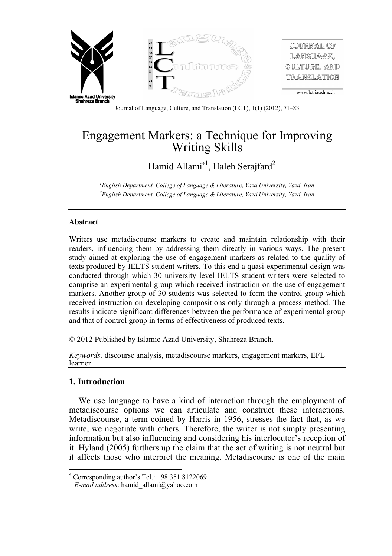

Journal of Language, Culture, and Translation (LCT), 1(1) (2012), 71–83

# Engagement Markers: a Technique for Improving Writing Skills

Hamid Allami<sup>\*1</sup>, Haleh Serajfard<sup>2</sup>

*1 English Department, College of Language & Literature, Yazd University, Yazd, Iran 2 English Department, College of Language & Literature, Yazd University, Yazd, Iran*

## **Abstract**

Writers use metadiscourse markers to create and maintain relationship with their readers, influencing them by addressing them directly in various ways. The present study aimed at exploring the use of engagement markers as related to the quality of texts produced by IELTS student writers. To this end a quasi-experimental design was conducted through which 30 university level IELTS student writers were selected to comprise an experimental group which received instruction on the use of engagement markers. Another group of 30 students was selected to form the control group which received instruction on developing compositions only through a process method. The results indicate significant differences between the performance of experimental group and that of control group in terms of effectiveness of produced texts.

© 2012 Published by Islamic Azad University, Shahreza Branch.

*Keywords:* discourse analysis, metadiscourse markers, engagement markers, EFL learner

# **1. Introduction**

 $\overline{a}$ 

We use language to have a kind of interaction through the employment of metadiscourse options we can articulate and construct these interactions. Metadiscourse, a term coined by Harris in 1956, stresses the fact that, as we write, we negotiate with others. Therefore, the writer is not simply presenting information but also influencing and considering his interlocutor's reception of it. Hyland (2005) furthers up the claim that the act of writing is not neutral but it affects those who interpret the meaning. Metadiscourse is one of the main

 Corresponding author's Tel.: +98 351 8122069

*E-mail address*: hamid\_allami@yahoo.com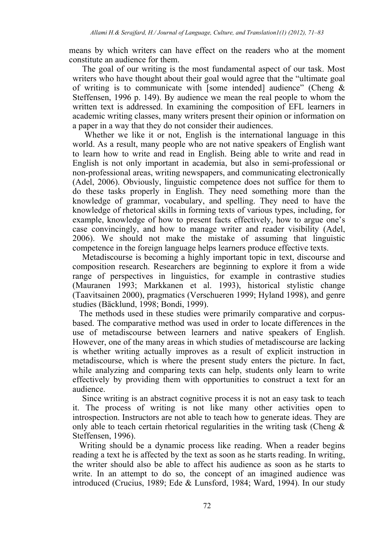means by which writers can have effect on the readers who at the moment constitute an audience for them.

The goal of our writing is the most fundamental aspect of our task. Most writers who have thought about their goal would agree that the "ultimate goal of writing is to communicate with [some intended] audience" (Cheng  $\&$ Steffensen, 1996 p. 149). By audience we mean the real people to whom the written text is addressed. In examining the composition of EFL learners in academic writing classes, many writers present their opinion or information on a paper in a way that they do not consider their audiences.

 Whether we like it or not, English is the international language in this world. As a result, many people who are not native speakers of English want to learn how to write and read in English. Being able to write and read in English is not only important in academia, but also in semi-professional or non-professional areas, writing newspapers, and communicating electronically (Adel, 2006). Obviously, linguistic competence does not suffice for them to do these tasks properly in English. They need something more than the knowledge of grammar, vocabulary, and spelling. They need to have the knowledge of rhetorical skills in forming texts of various types, including, for example, knowledge of how to present facts effectively, how to argue one's case convincingly, and how to manage writer and reader visibility (Adel, 2006). We should not make the mistake of assuming that linguistic competence in the foreign language helps learners produce effective texts.

Metadiscourse is becoming a highly important topic in text, discourse and composition research. Researchers are beginning to explore it from a wide range of perspectives in linguistics, for example in contrastive studies (Mauranen 1993; Markkanen et al. 1993), historical stylistic change (Taavitsainen 2000), pragmatics (Verschueren 1999; Hyland 1998), and genre studies (Bäcklund, 1998; Bondi, 1999).

 The methods used in these studies were primarily comparative and corpusbased. The comparative method was used in order to locate differences in the use of metadiscourse between learners and native speakers of English. However, one of the many areas in which studies of metadiscourse are lacking is whether writing actually improves as a result of explicit instruction in metadiscourse, which is where the present study enters the picture. In fact, while analyzing and comparing texts can help, students only learn to write effectively by providing them with opportunities to construct a text for an audience.

Since writing is an abstract cognitive process it is not an easy task to teach it. The process of writing is not like many other activities open to introspection. Instructors are not able to teach how to generate ideas. They are only able to teach certain rhetorical regularities in the writing task (Cheng  $\&$ Steffensen, 1996).

 Writing should be a dynamic process like reading. When a reader begins reading a text he is affected by the text as soon as he starts reading. In writing, the writer should also be able to affect his audience as soon as he starts to write. In an attempt to do so, the concept of an imagined audience was introduced (Crucius, 1989; Ede & Lunsford, 1984; Ward, 1994). In our study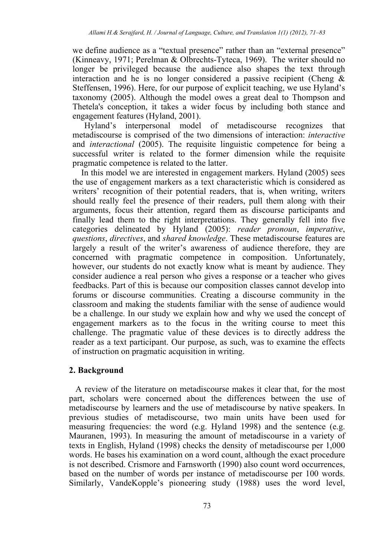we define audience as a "textual presence" rather than an "external presence" (Kinneavy, 1971; Perelman & Olbrechts-Tyteca, 1969). The writer should no longer be privileged because the audience also shapes the text through interaction and he is no longer considered a passive recipient (Cheng & Steffensen, 1996). Here, for our purpose of explicit teaching, we use Hyland's taxonomy (2005). Although the model owes a great deal to Thompson and Thetela's conception, it takes a wider focus by including both stance and engagement features (Hyland, 2001).

 Hyland's interpersonal model of metadiscourse recognizes that metadiscourse is comprised of the two dimensions of interaction: *interactive*  and *interactional* (2005). The requisite linguistic competence for being a successful writer is related to the former dimension while the requisite pragmatic competence is related to the latter.

 In this model we are interested in engagement markers. Hyland (2005) sees the use of engagement markers as a text characteristic which is considered as writers' recognition of their potential readers, that is, when writing, writers should really feel the presence of their readers, pull them along with their arguments, focus their attention, regard them as discourse participants and finally lead them to the right interpretations. They generally fell into five categories delineated by Hyland (2005): *reader pronoun*, *imperative*, *questions*, *directives*, and *shared knowledge*. These metadiscourse features are largely a result of the writer's awareness of audience therefore, they are concerned with pragmatic competence in composition. Unfortunately, however, our students do not exactly know what is meant by audience. They consider audience a real person who gives a response or a teacher who gives feedbacks. Part of this is because our composition classes cannot develop into forums or discourse communities. Creating a discourse community in the classroom and making the students familiar with the sense of audience would be a challenge. In our study we explain how and why we used the concept of engagement markers as to the focus in the writing course to meet this challenge. The pragmatic value of these devices is to directly address the reader as a text participant. Our purpose, as such, was to examine the effects of instruction on pragmatic acquisition in writing.

## **2. Background**

 A review of the literature on metadiscourse makes it clear that, for the most part, scholars were concerned about the differences between the use of metadiscourse by learners and the use of metadiscourse by native speakers. In previous studies of metadiscourse, two main units have been used for measuring frequencies: the word (e.g. Hyland 1998) and the sentence (e.g. Mauranen, 1993). In measuring the amount of metadiscourse in a variety of texts in English, Hyland (1998) checks the density of metadiscourse per 1,000 words. He bases his examination on a word count, although the exact procedure is not described. Crismore and Farnsworth (1990) also count word occurrences, based on the number of words per instance of metadiscourse per 100 words. Similarly, VandeKopple's pioneering study (1988) uses the word level,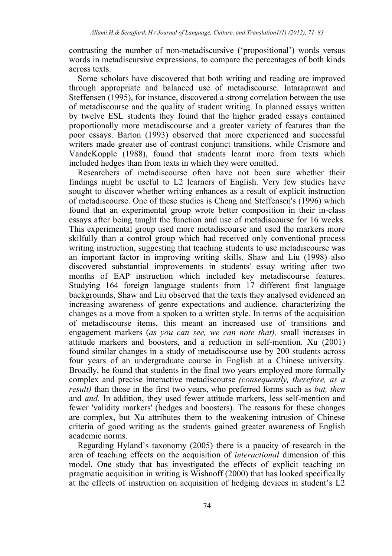contrasting the number of non-metadiscursive ('propositional') words versus words in metadiscursive expressions, to compare the percentages of both kinds across texts.

 Some scholars have discovered that both writing and reading are improved through appropriate and balanced use of metadiscourse. Intaraprawat and Steffensen (1995), for instance, discovered a strong correlation between the use of metadiscourse and the quality of student writing. In planned essays written by twelve ESL students they found that the higher graded essays contained proportionally more metadiscourse and a greater variety of features than the poor essays. Barton (1993) observed that more experienced and successful writers made greater use of contrast conjunct transitions, while Crismore and VandeKopple (1988), found that students learnt more from texts which included hedges than from texts in which they were omitted.

 Researchers of metadiscourse often have not been sure whether their findings might be useful to L2 learners of English. Very few studies have sought to discover whether writing enhances as a result of explicit instruction of metadiscourse. One of these studies is Cheng and Steffensen's (1996) which found that an experimental group wrote better composition in their in-class essays after being taught the function and use of metadiscourse for 16 weeks. This experimental group used more metadiscourse and used the markers more skilfully than a control group which had received only conventional process writing instruction, suggesting that teaching students to use metadiscourse was an important factor in improving writing skills. Shaw and Liu (1998) also discovered substantial improvements in students' essay writing after two months of EAP instruction which included key metadiscourse features. Studying 164 foreign language students from 17 different first language backgrounds, Shaw and Liu observed that the texts they analysed evidenced an increasing awareness of genre expectations and audience, characterizing the changes as a move from a spoken to a written style. In terms of the acquisition of metadiscourse items, this meant an increased use of transitions and engagement markers (*as you can see, we can note that),* small increases in attitude markers and boosters, and a reduction in self-mention. Xu (2001) found similar changes in a study of metadiscourse use by 200 students across four years of an undergraduate course in English at a Chinese university. Broadly, he found that students in the final two years employed more formally complex and precise interactive metadiscourse *(consequently, therefore, as a result)* than those in the first two years, who preferred forms such as *but, then*  and *and.* In addition, they used fewer attitude markers, less self-mention and fewer 'validity markers' (hedges and boosters). The reasons for these changes are complex, but Xu attributes them to the weakening intrusion of Chinese criteria of good writing as the students gained greater awareness of English academic norms.

 Regarding Hyland's taxonomy (2005) there is a paucity of research in the area of teaching effects on the acquisition of *interactional* dimension of this model. One study that has investigated the effects of explicit teaching on pragmatic acquisition in writing is Wishnoff (2000) that has looked specifically at the effects of instruction on acquisition of hedging devices in student's L2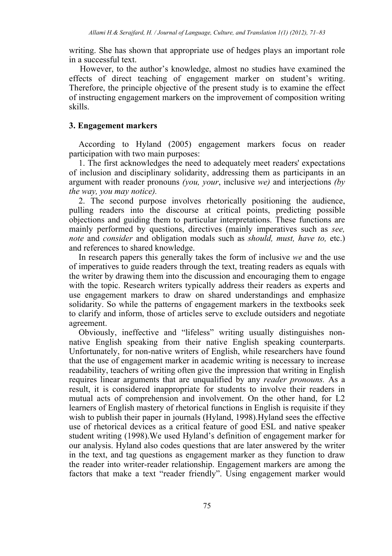writing. She has shown that appropriate use of hedges plays an important role in a successful text.

 However, to the author's knowledge, almost no studies have examined the effects of direct teaching of engagement marker on student's writing. Therefore, the principle objective of the present study is to examine the effect of instructing engagement markers on the improvement of composition writing skills.

# **3. Engagement markers**

According to Hyland (2005) engagement markers focus on reader participation with two main purposes:

1. The first acknowledges the need to adequately meet readers' expectations of inclusion and disciplinary solidarity, addressing them as participants in an argument with reader pronouns *(you, your*, inclusive *we)* and interjections *(by the way, you may notice).*

2. The second purpose involves rhetorically positioning the audience, pulling readers into the discourse at critical points, predicting possible objections and guiding them to particular interpretations. These functions are mainly performed by questions, directives (mainly imperatives such as *see, note* and *consider* and obligation modals such as *should, must, have to,* etc.) and references to shared knowledge.

In research papers this generally takes the form of inclusive *we* and the use of imperatives to guide readers through the text, treating readers as equals with the writer by drawing them into the discussion and encouraging them to engage with the topic. Research writers typically address their readers as experts and use engagement markers to draw on shared understandings and emphasize solidarity. So while the patterns of engagement markers in the textbooks seek to clarify and inform, those of articles serve to exclude outsiders and negotiate agreement.

Obviously, ineffective and "lifeless" writing usually distinguishes nonnative English speaking from their native English speaking counterparts. Unfortunately, for non-native writers of English, while researchers have found that the use of engagement marker in academic writing is necessary to increase readability, teachers of writing often give the impression that writing in English requires linear arguments that are unqualified by any *reader pronouns.* As a result, it is considered inappropriate for students to involve their readers in mutual acts of comprehension and involvement. On the other hand, for L2 learners of English mastery of rhetorical functions in English is requisite if they wish to publish their paper in journals (Hyland, 1998).Hyland sees the effective use of rhetorical devices as a critical feature of good ESL and native speaker student writing (1998).We used Hyland's definition of engagement marker for our analysis. Hyland also codes questions that are later answered by the writer in the text, and tag questions as engagement marker as they function to draw the reader into writer-reader relationship. Engagement markers are among the factors that make a text "reader friendly". Using engagement marker would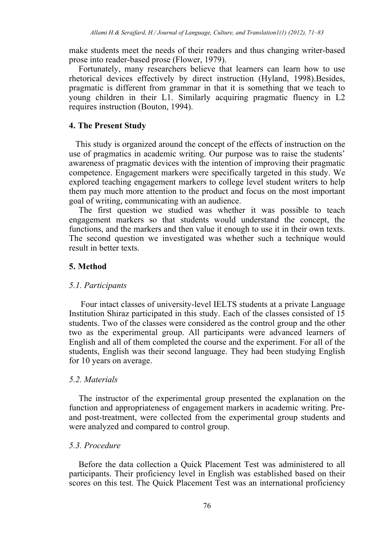make students meet the needs of their readers and thus changing writer-based prose into reader-based prose (Flower, 1979).

Fortunately, many researchers believe that learners can learn how to use rhetorical devices effectively by direct instruction (Hyland, 1998).Besides, pragmatic is different from grammar in that it is something that we teach to young children in their L1. Similarly acquiring pragmatic fluency in L2 requires instruction (Bouton, 1994).

#### **4. The Present Study**

 This study is organized around the concept of the effects of instruction on the use of pragmatics in academic writing. Our purpose was to raise the students' awareness of pragmatic devices with the intention of improving their pragmatic competence. Engagement markers were specifically targeted in this study. We explored teaching engagement markers to college level student writers to help them pay much more attention to the product and focus on the most important goal of writing, communicating with an audience.

The first question we studied was whether it was possible to teach engagement markers so that students would understand the concept, the functions, and the markers and then value it enough to use it in their own texts. The second question we investigated was whether such a technique would result in better texts.

# **5. Method**

#### *5.1. Participants*

Four intact classes of university-level IELTS students at a private Language Institution Shiraz participated in this study. Each of the classes consisted of 15 students. Two of the classes were considered as the control group and the other two as the experimental group. All participants were advanced learners of English and all of them completed the course and the experiment. For all of the students, English was their second language. They had been studying English for 10 years on average.

# *5.2. Materials*

The instructor of the experimental group presented the explanation on the function and appropriateness of engagement markers in academic writing. Preand post-treatment, were collected from the experimental group students and were analyzed and compared to control group.

## *5.3. Procedure*

Before the data collection a Quick Placement Test was administered to all participants. Their proficiency level in English was established based on their scores on this test. The Quick Placement Test was an international proficiency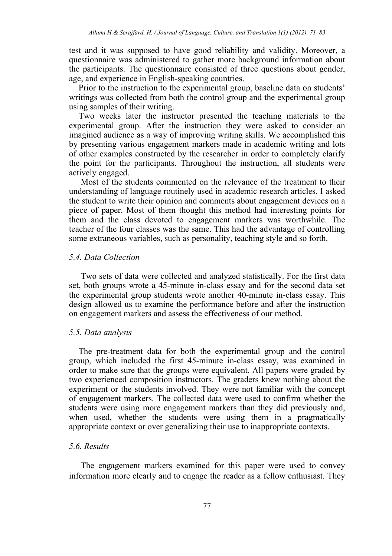test and it was supposed to have good reliability and validity. Moreover, a questionnaire was administered to gather more background information about the participants. The questionnaire consisted of three questions about gender, age, and experience in English-speaking countries.

Prior to the instruction to the experimental group, baseline data on students' writings was collected from both the control group and the experimental group using samples of their writing.

Two weeks later the instructor presented the teaching materials to the experimental group. After the instruction they were asked to consider an imagined audience as a way of improving writing skills. We accomplished this by presenting various engagement markers made in academic writing and lots of other examples constructed by the researcher in order to completely clarify the point for the participants. Throughout the instruction, all students were actively engaged.

 Most of the students commented on the relevance of the treatment to their understanding of language routinely used in academic research articles. I asked the student to write their opinion and comments about engagement devices on a piece of paper. Most of them thought this method had interesting points for them and the class devoted to engagement markers was worthwhile. The teacher of the four classes was the same. This had the advantage of controlling some extraneous variables, such as personality, teaching style and so forth.

## *5.4. Data Collection*

Two sets of data were collected and analyzed statistically. For the first data set, both groups wrote a 45-minute in-class essay and for the second data set the experimental group students wrote another 40-minute in-class essay. This design allowed us to examine the performance before and after the instruction on engagement markers and assess the effectiveness of our method.

#### *5.5. Data analysis*

The pre-treatment data for both the experimental group and the control group, which included the first 45-minute in-class essay, was examined in order to make sure that the groups were equivalent. All papers were graded by two experienced composition instructors. The graders knew nothing about the experiment or the students involved. They were not familiar with the concept of engagement markers. The collected data were used to confirm whether the students were using more engagement markers than they did previously and, when used, whether the students were using them in a pragmatically appropriate context or over generalizing their use to inappropriate contexts.

# *5.6. Results*

The engagement markers examined for this paper were used to convey information more clearly and to engage the reader as a fellow enthusiast. They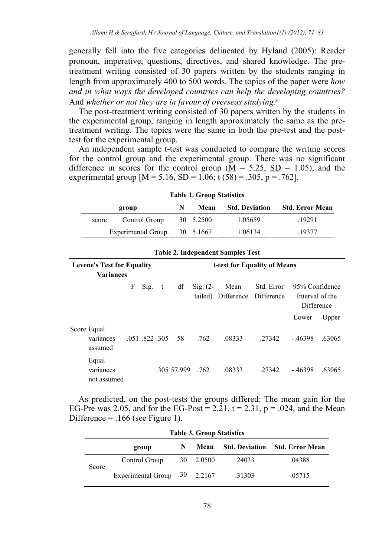generally fell into the five categories delineated by Hyland (2005): Reader pronoun, imperative, questions, directives, and shared knowledge. The pretreatment writing consisted of 30 papers written by the students ranging in length from approximately 400 to 500 words. The topics of the paper were *how and in what ways the developed countries can help the developing countries?* And *whether or not they are in favour of overseas studying?* 

The post-treatment writing consisted of 30 papers written by the students in the experimental group, ranging in length approximately the same as the pretreatment writing. The topics were the same in both the pre-test and the posttest for the experimental group.

An independent sample t-test was conducted to compare the writing scores for the control group and the experimental group. There was no significant difference in scores for the control group  $(M = 5.25, SD = 1.05)$ , and the experimental group  $[M = 5.16, SD = 1.06; t(58) = .305, p = .762]$ .

|       | group                     | N | Mean      | <b>Std. Deviation</b> | <b>Std. Error Mean</b> |  |
|-------|---------------------------|---|-----------|-----------------------|------------------------|--|
| score | Control Group             |   | 30 5.2500 | 1.05659               | .19291                 |  |
|       | <b>Experimental Group</b> |   | 30 5.1667 | 1.06134               | .19377                 |  |

**Table 1. Group Statistics** 

| <b>Levene's Test for Equality</b><br><b>Variances</b> |           |  | t-test for Equality of Means |            |                                |                    |                          |                                                 |        |  |  |
|-------------------------------------------------------|-----------|--|------------------------------|------------|--------------------------------|--------------------|--------------------------|-------------------------------------------------|--------|--|--|
|                                                       | F<br>Sig. |  | df<br>t                      |            | $\mathrm{Sig.}$ (2-<br>tailed) | Mean<br>Difference | Std. Error<br>Difference | 95% Confidence<br>Interval of the<br>Difference |        |  |  |
|                                                       |           |  |                              |            |                                |                    |                          | Lower                                           | Upper  |  |  |
| Score Equal<br>variances<br>assumed                   |           |  | .051 .822 .305               | 58         | .762                           | .08333             | .27342                   | $-46398$                                        | .63065 |  |  |
| Equal<br>variances<br>not assumed                     |           |  |                              | 305 57.999 | .762                           | .08333             | .27342                   | $-46398$                                        | .63065 |  |  |

**Table 2. Independent Samples Test** 

As predicted, on the post-tests the groups differed: The mean gain for the EG-Pre was 2.05, and for the EG-Post =  $2.21$ ,  $t = 2.31$ ,  $p = .024$ , and the Mean Difference  $=$  .166 (see Figure 1).

| <b>Table 3. Group Statistics</b> |                                |   |           |        |                                       |  |  |  |  |
|----------------------------------|--------------------------------|---|-----------|--------|---------------------------------------|--|--|--|--|
|                                  | group                          | N | Mean      |        | <b>Std. Deviation</b> Std. Error Mean |  |  |  |  |
| Score                            | Control Group                  |   | 30 2.0500 | .24033 | .04388                                |  |  |  |  |
|                                  | Experimental Group $30$ 2.2167 |   |           | .31303 | .05715                                |  |  |  |  |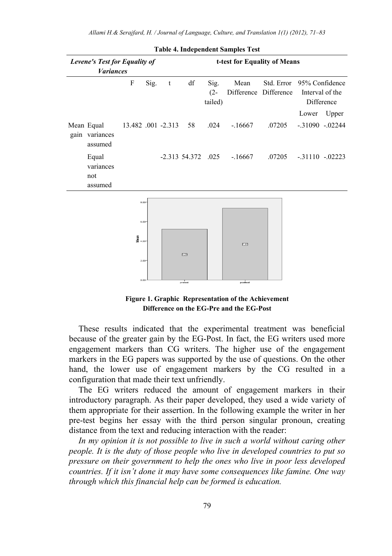| Levene's Test for Equality of<br><b>Variances</b> |                                                          | t-test for Equality of Means |   |                        |                           |                               |        |                                                            |                           |
|---------------------------------------------------|----------------------------------------------------------|------------------------------|---|------------------------|---------------------------|-------------------------------|--------|------------------------------------------------------------|---------------------------|
|                                                   | F                                                        | Sig.                         | t | $\mathrm{d}\mathrm{f}$ | Sig.<br>$(2 -$<br>tailed) | Mean<br>Difference Difference |        | Std. Error 95% Confidence<br>Interval of the<br>Difference |                           |
| Mean Equal<br>gain variances<br>assumed           | 13.482 .001 -2.313                                       |                              |   | 58                     | .024                      | $-16667$                      | .07205 | Lower                                                      | Upper<br>$-.31090-.02244$ |
| Equal<br>variances<br>not<br>assumed              |                                                          |                              |   | -2.313 54.372 .025     |                           | $-16667$                      | .07205 | $-.31110-.02223$                                           |                           |
|                                                   | 8.00<br>6.00<br>들<br>물 <sub>4.00</sub> -<br>2.00<br>0.00 |                              |   | 5.23<br>pretest        |                           | 237<br>posttest               |        |                                                            |                           |

**Table 4. Independent Samples Test** 



These results indicated that the experimental treatment was beneficial because of the greater gain by the EG-Post. In fact, the EG writers used more engagement markers than CG writers. The higher use of the engagement markers in the EG papers was supported by the use of questions. On the other hand, the lower use of engagement markers by the CG resulted in a configuration that made their text unfriendly.

The EG writers reduced the amount of engagement markers in their introductory paragraph. As their paper developed, they used a wide variety of them appropriate for their assertion. In the following example the writer in her pre-test begins her essay with the third person singular pronoun, creating distance from the text and reducing interaction with the reader:

In my opinion it is not possible to live in such a world without caring other *people. It is the duty of those people who live in developed countries to put so pressure on their government to help the ones who live in poor less developed countries. If it isn't done it may have some consequences like famine. One way through which this financial help can be formed is education.*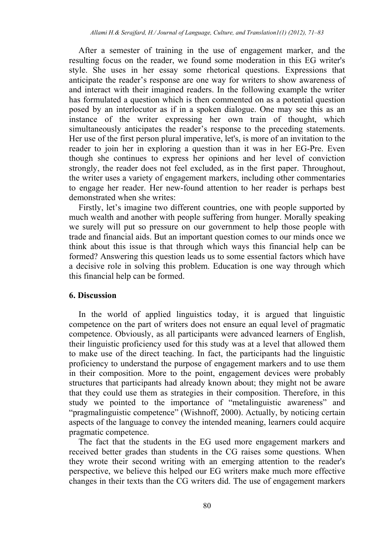After a semester of training in the use of engagement marker, and the resulting focus on the reader, we found some moderation in this EG writer's style. She uses in her essay some rhetorical questions. Expressions that anticipate the reader's response are one way for writers to show awareness of and interact with their imagined readers. In the following example the writer has formulated a question which is then commented on as a potential question posed by an interlocutor as if in a spoken dialogue. One may see this as an instance of the writer expressing her own train of thought, which simultaneously anticipates the reader's response to the preceding statements. Her use of the first person plural imperative, let's, is more of an invitation to the reader to join her in exploring a question than it was in her EG-Pre. Even though she continues to express her opinions and her level of conviction strongly, the reader does not feel excluded, as in the first paper. Throughout, the writer uses a variety of engagement markers, including other commentaries to engage her reader. Her new-found attention to her reader is perhaps best demonstrated when she writes:

Firstly, let's imagine two different countries, one with people supported by much wealth and another with people suffering from hunger. Morally speaking we surely will put so pressure on our government to help those people with trade and financial aids. But an important question comes to our minds once we think about this issue is that through which ways this financial help can be formed? Answering this question leads us to some essential factors which have a decisive role in solving this problem. Education is one way through which this financial help can be formed.

#### **6. Discussion**

In the world of applied linguistics today, it is argued that linguistic competence on the part of writers does not ensure an equal level of pragmatic competence. Obviously, as all participants were advanced learners of English, their linguistic proficiency used for this study was at a level that allowed them to make use of the direct teaching. In fact, the participants had the linguistic proficiency to understand the purpose of engagement markers and to use them in their composition. More to the point, engagement devices were probably structures that participants had already known about; they might not be aware that they could use them as strategies in their composition. Therefore, in this study we pointed to the importance of "metalinguistic awareness" and "pragmalinguistic competence" (Wishnoff, 2000). Actually, by noticing certain aspects of the language to convey the intended meaning, learners could acquire pragmatic competence.

The fact that the students in the EG used more engagement markers and received better grades than students in the CG raises some questions. When they wrote their second writing with an emerging attention to the reader's perspective, we believe this helped our EG writers make much more effective changes in their texts than the CG writers did. The use of engagement markers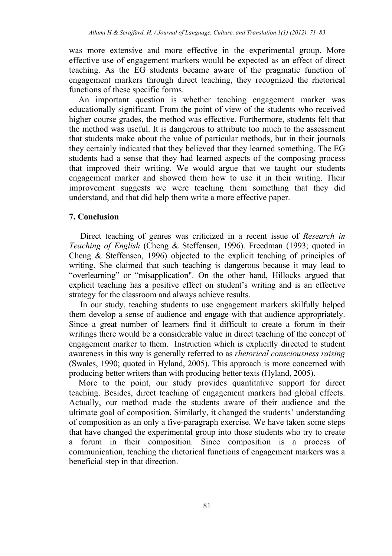was more extensive and more effective in the experimental group. More effective use of engagement markers would be expected as an effect of direct teaching. As the EG students became aware of the pragmatic function of engagement markers through direct teaching, they recognized the rhetorical functions of these specific forms.

An important question is whether teaching engagement marker was educationally significant. From the point of view of the students who received higher course grades, the method was effective. Furthermore, students felt that the method was useful. It is dangerous to attribute too much to the assessment that students make about the value of particular methods, but in their journals they certainly indicated that they believed that they learned something. The EG students had a sense that they had learned aspects of the composing process that improved their writing. We would argue that we taught our students engagement marker and showed them how to use it in their writing. Their improvement suggests we were teaching them something that they did understand, and that did help them write a more effective paper.

# **7. Conclusion**

Direct teaching of genres was criticized in a recent issue of *Research in Teaching of English* (Cheng & Steffensen, 1996). Freedman (1993; quoted in Cheng & Steffensen, 1996) objected to the explicit teaching of principles of writing. She claimed that such teaching is dangerous because it may lead to "overlearning" or "misapplication". On the other hand, Hillocks argued that explicit teaching has a positive effect on student's writing and is an effective strategy for the classroom and always achieve results.

In our study, teaching students to use engagement markers skilfully helped them develop a sense of audience and engage with that audience appropriately. Since a great number of learners find it difficult to create a forum in their writings there would be a considerable value in direct teaching of the concept of engagement marker to them. Instruction which is explicitly directed to student awareness in this way is generally referred to as *rhetorical consciousness raising* (Swales, 1990; quoted in Hyland, 2005). This approach is more concerned with producing better writers than with producing better texts (Hyland, 2005).

More to the point, our study provides quantitative support for direct teaching. Besides, direct teaching of engagement markers had global effects. Actually, our method made the students aware of their audience and the ultimate goal of composition. Similarly, it changed the students' understanding of composition as an only a five-paragraph exercise. We have taken some steps that have changed the experimental group into those students who try to create a forum in their composition. Since composition is a process of communication, teaching the rhetorical functions of engagement markers was a beneficial step in that direction.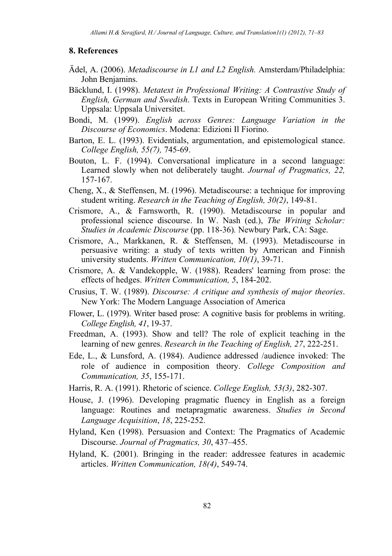#### **8. References**

- Ädel, A. (2006). *Metadiscourse in L1 and L2 English.* Amsterdam/Philadelphia: John Benjamins.
- Bäcklund, I. (1998). *Metatext in Professional Writing: A Contrastive Study of English, German and Swedish*. Texts in European Writing Communities 3. Uppsala: Uppsala Universitet.
- Bondi, M. (1999). *English across Genres: Language Variation in the Discourse of Economics*. Modena: Edizioni Il Fiorino.
- Barton, E. L. (1993). Evidentials, argumentation, and epistemological stance. *College English, 55(7),* 745-69.
- Bouton, L. F. (1994). Conversational implicature in a second language: Learned slowly when not deliberately taught. *Journal of Pragmatics, 22,* 157-167.
- Cheng, X., & Steffensen, M. (1996). Metadiscourse: a technique for improving student writing. *Research in the Teaching of English, 30(2)*, 149-81.
- Crismore, A., & Farnsworth, R. (1990). Metadiscourse in popular and professional science discourse. In W. Nash (ed.), *The Writing Scholar: Studies in Academic Discourse* (pp. 118-36)*.* Newbury Park, CA: Sage.
- Crismore, A., Markkanen, R. & Steffensen, M. (1993). Metadiscourse in persuasive writing: a study of texts written by American and Finnish university students. *Written Communication, 10(1)*, 39-71.
- Crismore, A. & Vandekopple, W. (1988). Readers' learning from prose: the effects of hedges. *Written Communication, 5*, 184-202.
- Crusius, T. W. (1989). *Discourse: A critique and synthesis of major theories*. New York: The Modern Language Association of America
- Flower, L. (1979). Writer based prose: A cognitive basis for problems in writing. *College English, 41*, 19-37.
- Freedman, A. (1993). Show and tell? The role of explicit teaching in the learning of new genres. *Research in the Teaching of English, 27*, 222-251.
- Ede, L., & Lunsford, A. (1984). Audience addressed /audience invoked: The role of audience in composition theory. *College Composition and Communication, 35*, 155-171.
- Harris, R. A. (1991). Rhetoric of science. *College English, 53(3)*, 282-307.
- House, J. (1996). Developing pragmatic fluency in English as a foreign language: Routines and metapragmatic awareness. *Studies in Second Language Acquisition*, *18*, 225-252.
- Hyland, Ken (1998). Persuasion and Context: The Pragmatics of Academic Discourse. *Journal of Pragmatics, 30*, 437–455.
- Hyland, K. (2001). Bringing in the reader: addressee features in academic articles. *Written Communication, 18(4)*, 549-74.